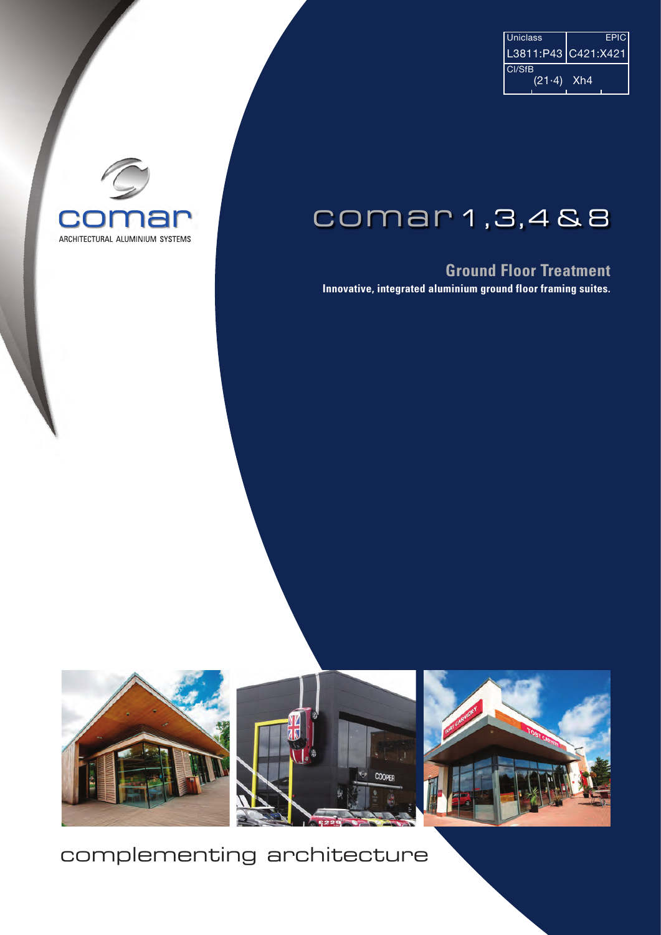| <b>Uniclass</b> | <b>EPIC</b>           |
|-----------------|-----------------------|
|                 | L3811:P43   C421:X421 |
| Cl/SfB          |                       |
| $(21.4)$ Xh4    |                       |
|                 |                       |

## C ARCHITECTURAL ALUMINIUM SYSTEMS

## comar 1,3,4 & 8

## **Ground Floor Treatment**

**Innovative, integrated aluminium ground floor framing suites.**







## complementing architecture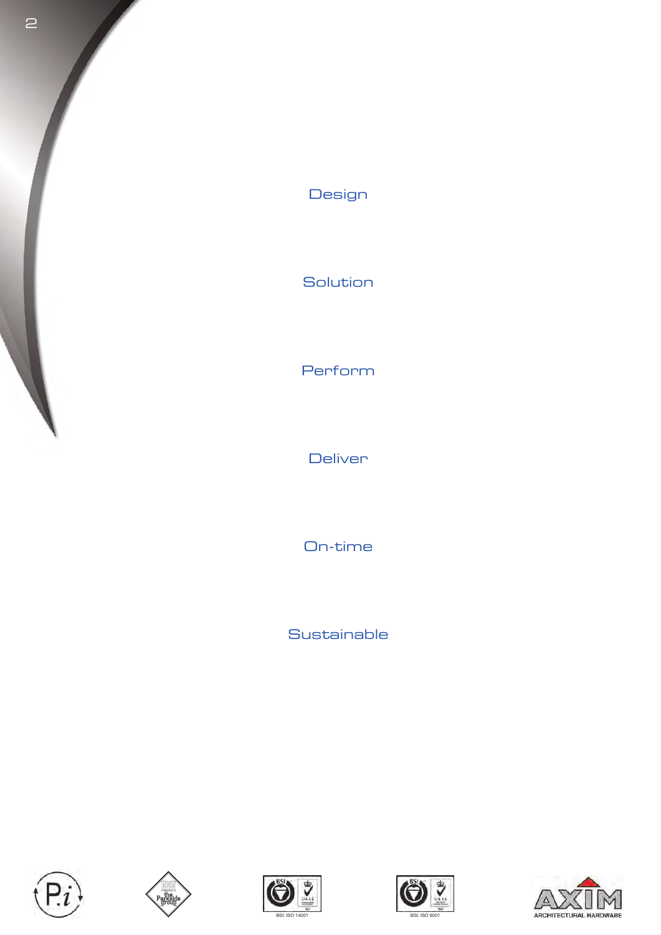

## Design

Solution

## Perform

**Deliver** 

On-time

**Sustainable** 









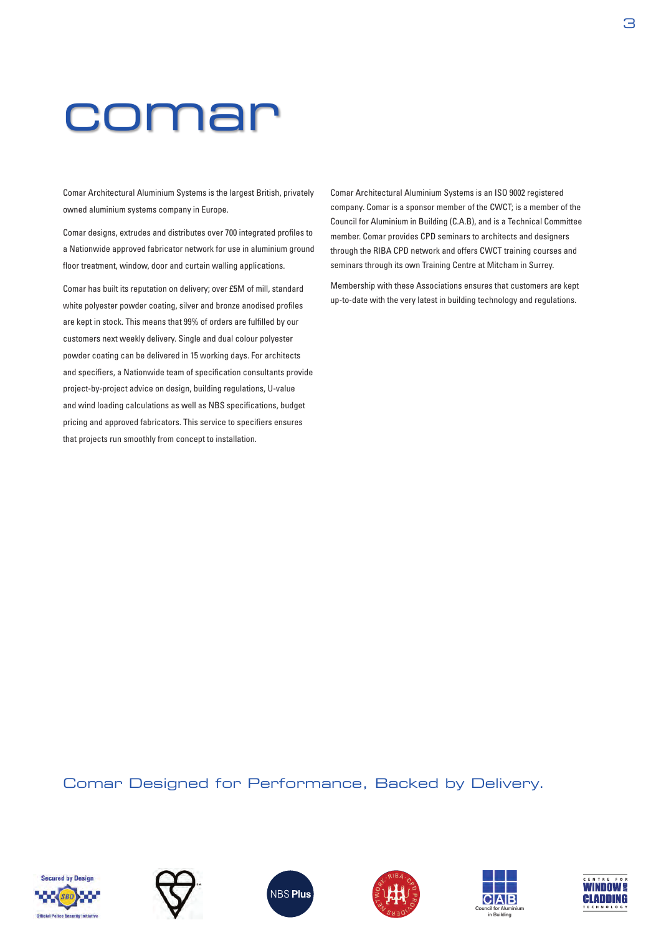## comar

Comar Architectural Aluminium Systems is the largest British, privately owned aluminium systems company in Europe.

Comar designs, extrudes and distributes over 700 integrated profiles to a Nationwide approved fabricator network for use in aluminium ground floor treatment, window, door and curtain walling applications.

Comar has built its reputation on delivery; over £5M of mill, standard white polyester powder coating, silver and bronze anodised profiles are kept in stock. This means that 99% of orders are fulfilled by our customers next weekly delivery. Single and dual colour polyester powder coating can be delivered in 15 working days. For architects and specifiers, a Nationwide team of specification consultants provide project-by-project advice on design, building regulations, U-value and wind loading calculations as well as NBS specifications, budget pricing and approved fabricators. This service to specifiers ensures that projects run smoothly from concept to installation.

Comar Architectural Aluminium Systems is an ISO 9002 registered company. Comar is a sponsor member of the CWCT; is a member of the Council for Aluminium in Building (C.A.B), and is a Technical Committee member. Comar provides CPD seminars to architects and designers through the RIBA CPD network and offers CWCT training courses and seminars through its own Training Centre at Mitcham in Surrey.

Membership with these Associations ensures that customers are kept up-to-date with the very latest in building technology and regulations.

Comar Designed for Performance, Backed by Delivery.











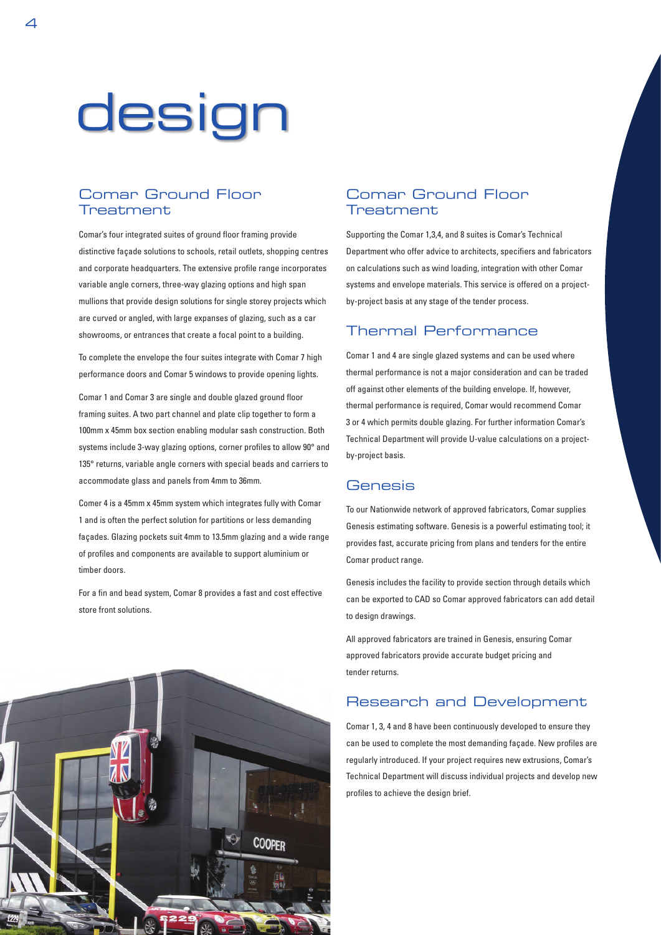# design

## Comar Ground Floor **Treatment**

Comar's four integrated suites of ground floor framing provide distinctive façade solutions to schools, retail outlets, shopping centres and corporate headquarters. The extensive profile range incorporates variable angle corners, three-way glazing options and high span mullions that provide design solutions for single storey projects which are curved or angled, with large expanses of glazing, such as a car showrooms, or entrances that create a focal point to a building.

To complete the envelope the four suites integrate with Comar 7 high performance doors and Comar 5 windows to provide opening lights.

Comar 1 and Comar 3 are single and double glazed ground floor framing suites. A two part channel and plate clip together to form a 100mm x 45mm box section enabling modular sash construction. Both systems include 3-way glazing options, corner profiles to allow 90° and 135° returns, variable angle corners with special beads and carriers to accommodate glass and panels from 4mm to 36mm.

Comer 4 is a 45mm x 45mm system which integrates fully with Comar 1 and is often the perfect solution for partitions or less demanding façades. Glazing pockets suit 4mm to 13.5mm glazing and a wide range of profiles and components are available to support aluminium or timber doors.

For a fin and bead system, Comar 8 provides a fast and cost effective store front solutions.

## Comar Ground Floor **Treatment**

Supporting the Comar 1,3,4, and 8 suites is Comar's Technical Department who offer advice to architects, specifiers and fabricators on calculations such as wind loading, integration with other Comar systems and envelope materials. This service is offered on a projectby-project basis at any stage of the tender process.

### Thermal Performance

Comar 1 and 4 are single glazed systems and can be used where thermal performance is not a major consideration and can be traded off against other elements of the building envelope. If, however, thermal performance is required, Comar would recommend Comar 3 or 4 which permits double glazing. For further information Comar's Technical Department will provide U-value calculations on a projectby-project basis.

### **Genesis**

To our Nationwide network of approved fabricators, Comar supplies Genesis estimating software. Genesis is a powerful estimating tool; it provides fast, accurate pricing from plans and tenders for the entire Comar product range.

Genesis includes the facility to provide section through details which can be exported to CAD so Comar approved fabricators can add detail to design drawings.

All approved fabricators are trained in Genesis, ensuring Comar approved fabricators provide accurate budget pricing and tender returns.

### Research and Development

Comar 1, 3, 4 and 8 have been continuously developed to ensure they can be used to complete the most demanding façade. New profiles are regularly introduced. If your project requires new extrusions, Comar's Technical Department will discuss individual projects and develop new profiles to achieve the design brief.

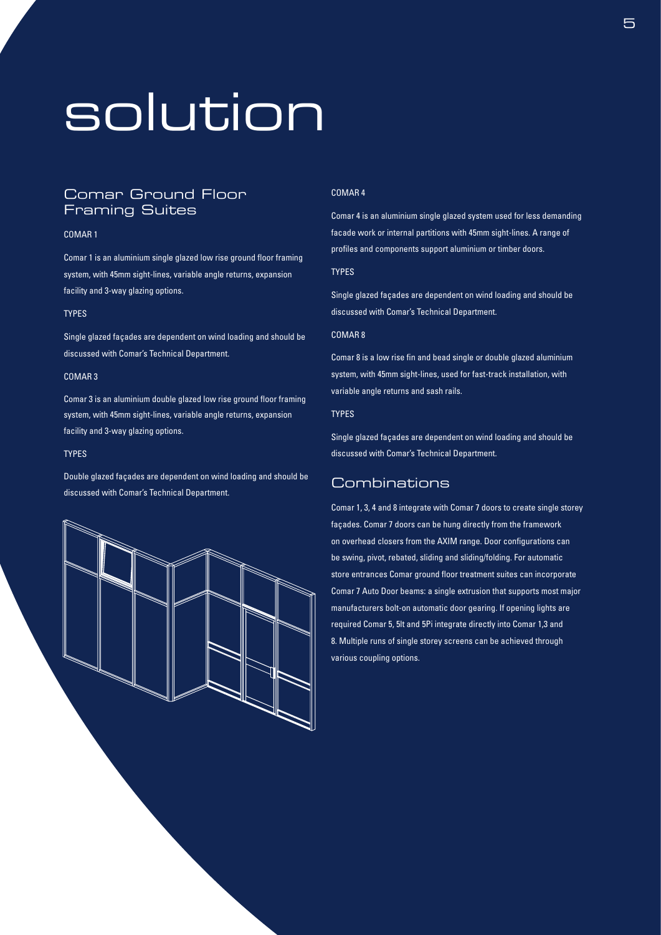## solution

## Comar Ground Floor Framing Suites

#### COMAR 1

Comar 1 is an aluminium single glazed low rise ground floor framing system, with 45mm sight-lines, variable angle returns, expansion facility and 3-way glazing options.

#### TYPES

Single glazed façades are dependent on wind loading and should be discussed with Comar's Technical Department.

#### COMAR 3

Comar 3 is an aluminium double glazed low rise ground floor framing system, with 45mm sight-lines, variable angle returns, expansion facility and 3-way glazing options.

#### TYPES

Double glazed façades are dependent on wind loading and should be discussed with Comar's Technical Department.



#### COMAR 4

Comar 4 is an aluminium single glazed system used for less demanding facade work or internal partitions with 45mm sight-lines. A range of profiles and components support aluminium or timber doors.

#### TYPES

Single glazed façades are dependent on wind loading and should be discussed with Comar's Technical Department.

#### COMAR 8

Comar 8 is a low rise fin and bead single or double glazed aluminium system, with 45mm sight-lines, used for fast-track installation, with variable angle returns and sash rails.

#### **TYPES**

Single glazed façades are dependent on wind loading and should be discussed with Comar's Technical Department.

## Combinations

Comar 1, 3, 4 and 8 integrate with Comar 7 doors to create single storey façades. Comar 7 doors can be hung directly from the framework on overhead closers from the AXIM range. Door configurations can be swing, pivot, rebated, sliding and sliding/folding. For automatic store entrances Comar ground floor treatment suites can incorporate Comar 7 Auto Door beams: a single extrusion that supports most major manufacturers bolt-on automatic door gearing. If opening lights are required Comar 5, 5lt and 5Pi integrate directly into Comar 1,3 and 8. Multiple runs of single storey screens can be achieved through various coupling options.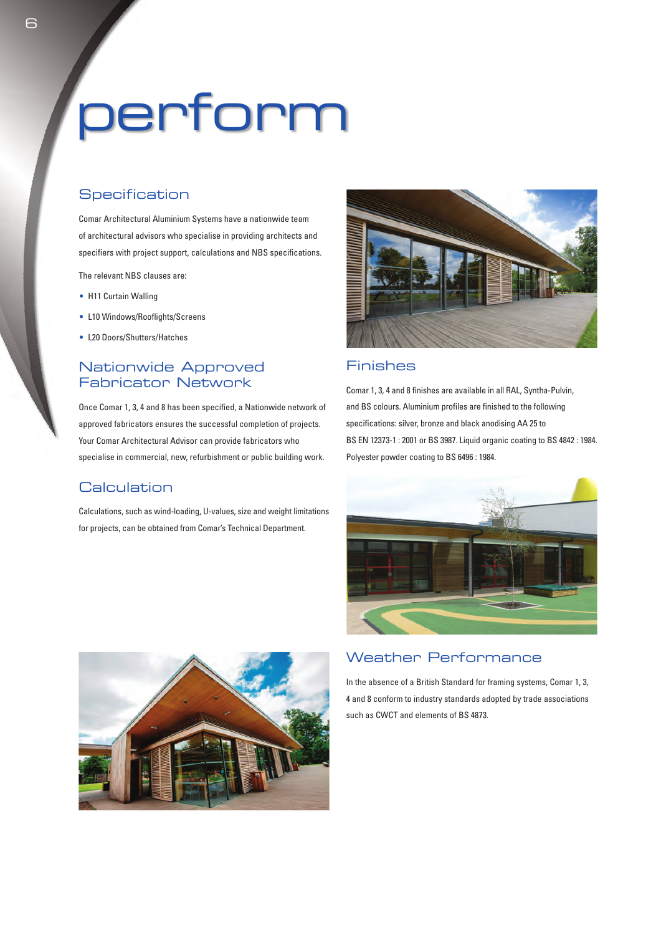# perform

## **Specification**

Comar Architectural Aluminium Systems have a nationwide team of architectural advisors who specialise in providing architects and specifiers with project support, calculations and NBS specifications.

The relevant NBS clauses are:

- H11 Curtain Walling
- L10 Windows/Rooflights/Screens
- L20 Doors/Shutters/Hatches

## Nationwide Approved Fabricator Network

Once Comar 1, 3, 4 and 8 has been specified, a Nationwide network of approved fabricators ensures the successful completion of projects. Your Comar Architectural Advisor can provide fabricators who specialise in commercial, new, refurbishment or public building work.

### **Calculation**

Calculations, such as wind-loading, U-values, size and weight limitations for projects, can be obtained from Comar's Technical Department.



### Finishes

Comar 1, 3, 4 and 8 finishes are available in all RAL, Syntha-Pulvin, and BS colours. Aluminium profiles are finished to the following specifications: silver, bronze and black anodising AA 25 to BS EN 12373-1 : 2001 or BS 3987. Liquid organic coating to BS 4842 : 1984. Polyester powder coating to BS 6496 : 1984.





## Weather Performance

In the absence of a British Standard for framing systems, Comar 1, 3, 4 and 8 conform to industry standards adopted by trade associations such as CWCT and elements of BS 4873.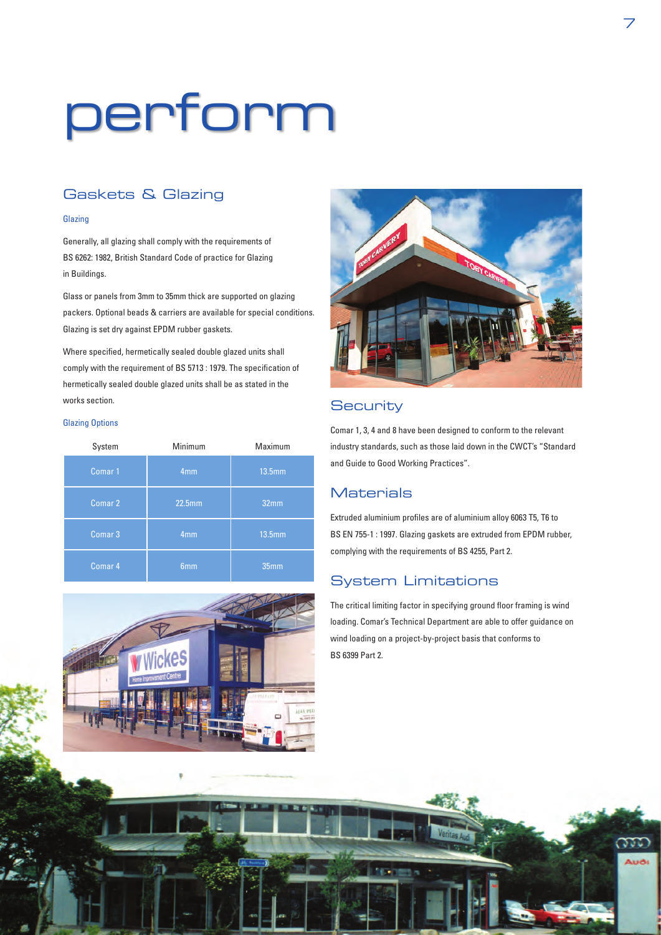# perform

## Gaskets & Glazing

#### Glazing

Generally, all glazing shall comply with the requirements of BS 6262: 1982, British Standard Code of practice for Glazing in Buildings.

Glass or panels from 3mm to 35mm thick are supported on glazing packers. Optional beads & carriers are available for special conditions. Glazing is set dry against EPDM rubber gaskets.

Where specified, hermetically sealed double glazed units shall comply with the requirement of BS 5713 : 1979. The specification of hermetically sealed double glazed units shall be as stated in the works section.

#### Glazing Options

| System             | Minimum         | Maximum          |
|--------------------|-----------------|------------------|
| Comar <sub>1</sub> | 4 <sub>mm</sub> | 13.5mm           |
| Comar 2            | <b>22.5mm</b>   | 32 <sub>mm</sub> |
| Comar 3            | 4 <sub>mm</sub> | 13.5mm           |
| Comar 4            | 6 <sub>mm</sub> | 35mm             |





## **Security**

Comar 1, 3, 4 and 8 have been designed to conform to the relevant industry standards, such as those laid down in the CWCT's "Standard and Guide to Good Working Practices".

## **Materials**

Extruded aluminium profiles are of aluminium alloy 6063 T5, T6 to BS EN 755-1 : 1997. Glazing gaskets are extruded from EPDM rubber, complying with the requirements of BS 4255, Part 2.

## System Limitations

The critical limiting factor in specifying ground floor framing is wind loading. Comar's Technical Department are able to offer guidance on wind loading on a project-by-project basis that conforms to BS 6399 Part 2.

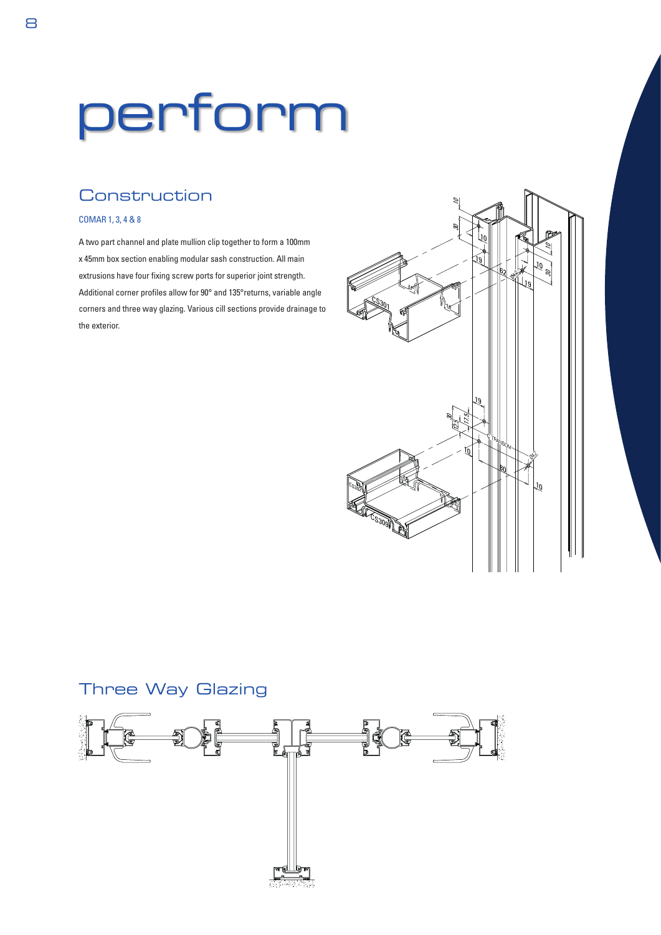# perform

## **Construction**

#### COMAR 1, 3, 4 & 8

A two part channel and plate mullion clip together to form a 100mm x 45mm box section enabling modular sash construction. All main extrusions have four fixing screw ports for superior joint strength. Additional corner profiles allow for 90° and 135°returns, variable angle corners and three way glazing. Various cill sections provide drainage to the exterior.



## Three Way Glazing

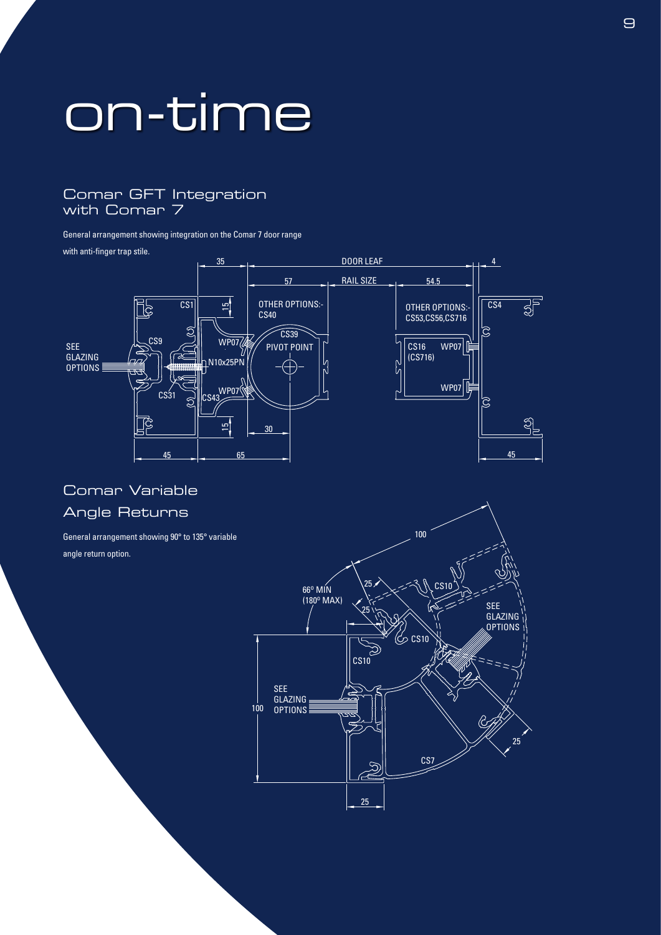## on-time

## Comar GFT Integration with Comar 7

General arrangement showing integration on the Comar 7 door range

with anti-finger trap stile.



## Comar Variable Angle Returns

General arrangement showing 90° to 135° variable angle return option.

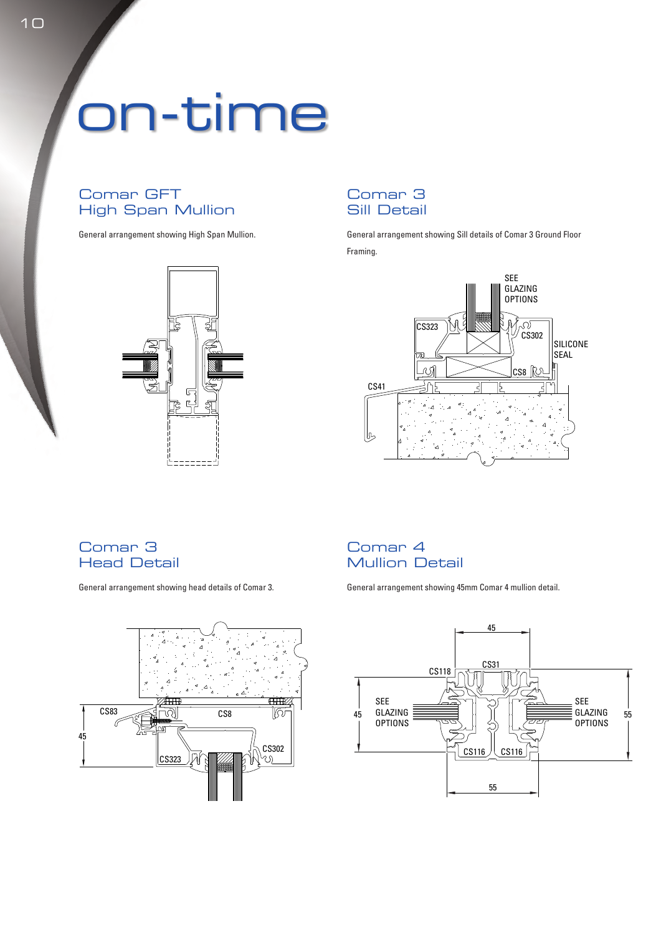## on-time

## Comar GFT High Span Mullion

General arrangement showing High Span Mullion.



## Comar 3 Sill Detail

General arrangement showing Sill details of Comar 3 Ground Floor Framing.



## Comar 3 Head Detail

General arrangement showing head details of Comar 3.



## Comar 4 Mullion Detail

General arrangement showing 45mm Comar 4 mullion detail.

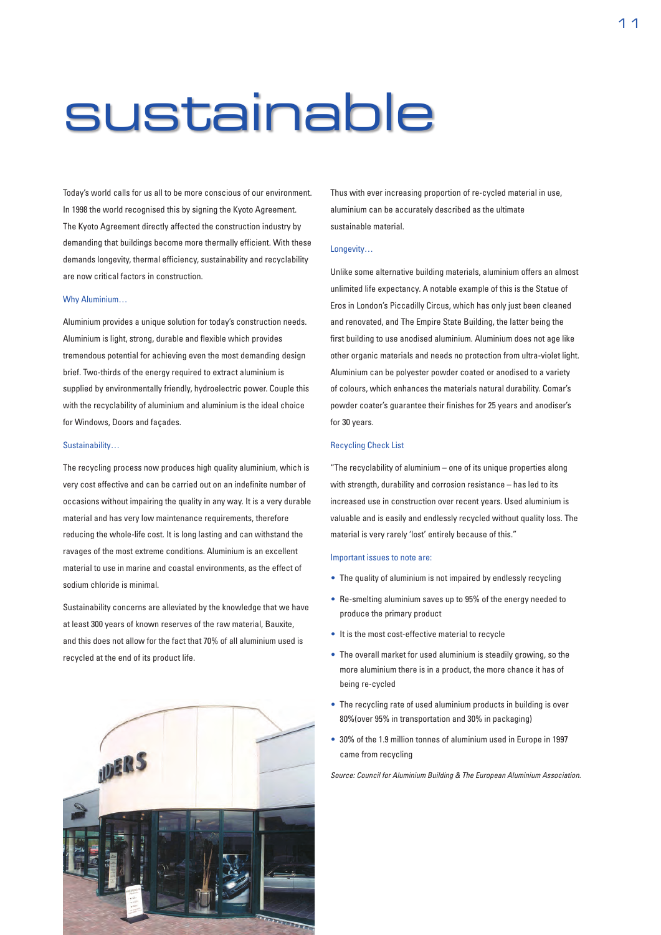## sustainable

Today's world calls for us all to be more conscious of our environment. In 1998 the world recognised this by signing the Kyoto Agreement. The Kyoto Agreement directly affected the construction industry by demanding that buildings become more thermally efficient. With these demands longevity, thermal efficiency, sustainability and recyclability are now critical factors in construction.

#### Why Aluminium…

Aluminium provides a unique solution for today's construction needs. Aluminium is light, strong, durable and flexible which provides tremendous potential for achieving even the most demanding design brief. Two-thirds of the energy required to extract aluminium is supplied by environmentally friendly, hydroelectric power. Couple this with the recyclability of aluminium and aluminium is the ideal choice for Windows, Doors and façades.

#### Sustainability…

The recycling process now produces high quality aluminium, which is very cost effective and can be carried out on an indefinite number of occasions without impairing the quality in any way. It is a very durable material and has very low maintenance requirements, therefore reducing the whole-life cost. It is long lasting and can withstand the ravages of the most extreme conditions. Aluminium is an excellent material to use in marine and coastal environments, as the effect of sodium chloride is minimal.

Sustainability concerns are alleviated by the knowledge that we have at least 300 years of known reserves of the raw material, Bauxite, and this does not allow for the fact that 70% of all aluminium used is recycled at the end of its product life.



Thus with ever increasing proportion of re-cycled material in use, aluminium can be accurately described as the ultimate sustainable material.

#### Longevity…

Unlike some alternative building materials, aluminium offers an almost unlimited life expectancy. A notable example of this is the Statue of Eros in London's Piccadilly Circus, which has only just been cleaned and renovated, and The Empire State Building, the latter being the first building to use anodised aluminium. Aluminium does not age like other organic materials and needs no protection from ultra-violet light. Aluminium can be polyester powder coated or anodised to a variety of colours, which enhances the materials natural durability. Comar's powder coater's guarantee their finishes for 25 years and anodiser's for 30 years.

#### Recycling Check List

"The recyclability of aluminium – one of its unique properties along with strength, durability and corrosion resistance – has led to its increased use in construction over recent years. Used aluminium is valuable and is easily and endlessly recycled without quality loss. The material is very rarely 'lost' entirely because of this."

#### Important issues to note are:

- The quality of aluminium is not impaired by endlessly recycling
- Re-smelting aluminium saves up to 95% of the energy needed to produce the primary product
- It is the most cost-effective material to recycle
- The overall market for used aluminium is steadily growing, so the more aluminium there is in a product, the more chance it has of being re-cycled
- The recycling rate of used aluminium products in building is over 80%(over 95% in transportation and 30% in packaging)
- 30% of the 1.9 million tonnes of aluminium used in Europe in 1997 came from recycling

*Source: Council for Aluminium Building & The European Aluminium Association.*